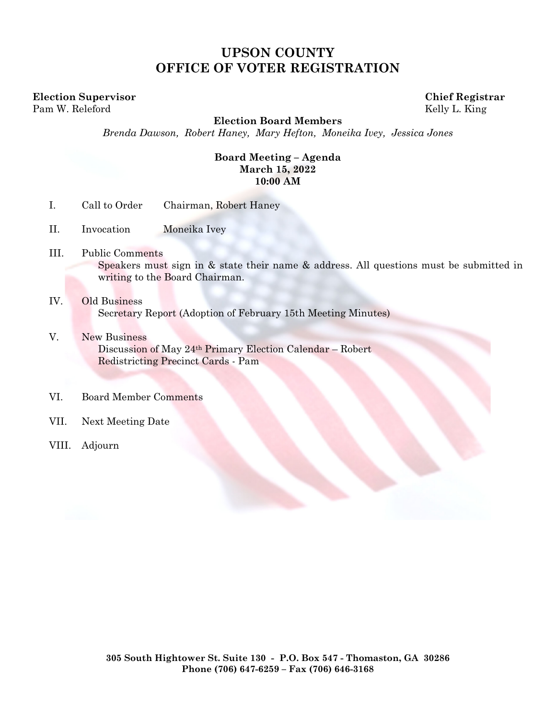# **UPSON COUNTY OFFICE OF VOTER REGISTRATION**

**Election Supervisor Chief Registrar**  Pam W. Releford Kelly L. King

**Election Board Members** 

*Brenda Dawson, Robert Haney, Mary Hefton, Moneika Ivey, Jessica Jones* 

### **Board Meeting – Agenda March 15, 2022 10:00 AM**

- I. Call to Order Chairman, Robert Haney
- II. Invocation Moneika Ivey
- III. Public Comments Speakers must sign in & state their name & address. All questions must be submitted in writing to the Board Chairman.
- IV. Old Business Secretary Report (Adoption of February 15th Meeting Minutes)
- V. New Business Discussion of May 24th Primary Election Calendar – Robert Redistricting Precinct Cards - Pam
- VI. Board Member Comments
- VII. Next Meeting Date
- VIII. Adjourn